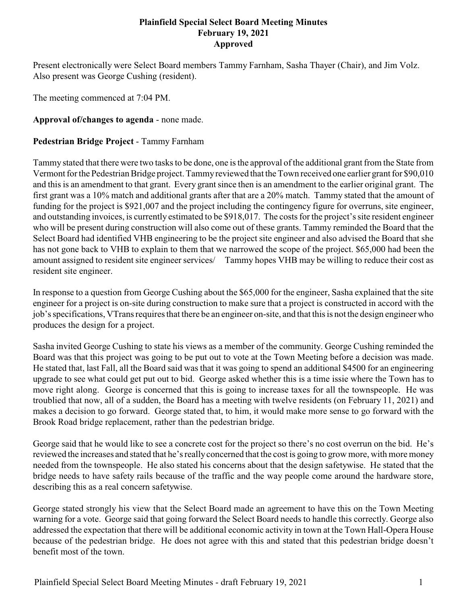#### **Plainfield Special Select Board Meeting Minutes February 19, 2021 Approved**

Present electronically were Select Board members Tammy Farnham, Sasha Thayer (Chair), and Jim Volz. Also present was George Cushing (resident).

The meeting commenced at 7:04 PM.

**Approval of/changes to agenda** - none made.

# **Pedestrian Bridge Project** - Tammy Farnham

Tammy stated that there were two tasks to be done, one is the approval of the additional grant from the State from Vermont for the Pedestrian Bridge project. Tammyreviewed that the Town received one earlier grant for \$90,010 and this is an amendment to that grant. Every grant since then is an amendment to the earlier original grant. The first grant was a 10% match and additional grants after that are a 20% match. Tammy stated that the amount of funding for the project is \$921,007 and the project including the contingency figure for overruns, site engineer, and outstanding invoices, is currently estimated to be \$918,017. The costs for the project's site resident engineer who will be present during construction will also come out of these grants. Tammy reminded the Board that the Select Board had identified VHB engineering to be the project site engineer and also advised the Board that she has not gone back to VHB to explain to them that we narrowed the scope of the project. \$65,000 had been the amount assigned to resident site engineer services/ Tammy hopes VHB may be willing to reduce their cost as resident site engineer.

In response to a question from George Cushing about the \$65,000 for the engineer, Sasha explained that the site engineer for a project is on-site during construction to make sure that a project is constructed in accord with the job's specifications, VTrans requires that there be an engineer on-site, and that this is not the design engineer who produces the design for a project.

Sasha invited George Cushing to state his views as a member of the community. George Cushing reminded the Board was that this project was going to be put out to vote at the Town Meeting before a decision was made. He stated that, last Fall, all the Board said was that it was going to spend an additional \$4500 for an engineering upgrade to see what could get put out to bid. George asked whether this is a time issie where the Town has to move right along. George is concerned that this is going to increase taxes for all the townspeople. He was troublied that now, all of a sudden, the Board has a meeting with twelve residents (on February 11, 2021) and makes a decision to go forward. George stated that, to him, it would make more sense to go forward with the Brook Road bridge replacement, rather than the pedestrian bridge.

George said that he would like to see a concrete cost for the project so there's no cost overrun on the bid. He's reviewed the increases and stated that he's reallyconcerned that the cost is going to grow more, with more money needed from the townspeople. He also stated his concerns about that the design safetywise. He stated that the bridge needs to have safety rails because of the traffic and the way people come around the hardware store, describing this as a real concern safetywise.

George stated strongly his view that the Select Board made an agreement to have this on the Town Meeting warning for a vote. George said that going forward the Select Board needs to handle this correctly. George also addressed the expectation that there will be additional economic activity in town at the Town Hall-Opera House because of the pedestrian bridge. He does not agree with this and stated that this pedestrian bridge doesn't benefit most of the town.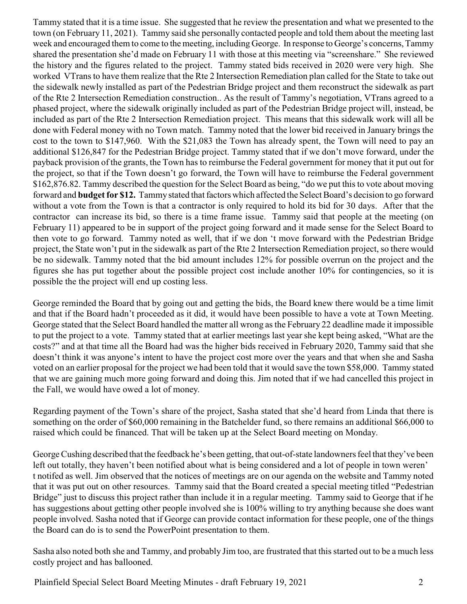Tammy stated that it is a time issue. She suggested that he review the presentation and what we presented to the town (on February 11, 2021). Tammy said she personally contacted people and told them about the meeting last week and encouraged them to come to the meeting, including George. In response to George's concerns, Tammy shared the presentation she'd made on February 11 with those at this meeting via "screenshare." She reviewed the history and the figures related to the project. Tammy stated bids received in 2020 were very high. She worked VTrans to have them realize that the Rte 2 Intersection Remediation plan called for the State to take out the sidewalk newly installed as part of the Pedestrian Bridge project and them reconstruct the sidewalk as part of the Rte 2 Intersection Remediation construction.. As the result of Tammy's negotiation, VTrans agreed to a phased project, where the sidewalk originally included as part of the Pedestrian Bridge project will, instead, be included as part of the Rte 2 Intersection Remediation project. This means that this sidewalk work will all be done with Federal money with no Town match. Tammy noted that the lower bid received in January brings the cost to the town to \$147,960. With the \$21,083 the Town has already spent, the Town will need to pay an additional \$126,847 for the Pedestrian Bridge project. Tammy stated that if we don't move forward, under the payback provision of the grants, the Town has to reimburse the Federal government for money that it put out for the project, so that if the Town doesn't go forward, the Town will have to reimburse the Federal government \$162,876.82. Tammy described the question for the Select Board as being, "do we put this to vote about moving forward and **budget for \$12.** Tammy stated that factors which affected the Select Board's decision to go forward without a vote from the Town is that a contractor is only required to hold its bid for 30 days. After that the contractor can increase its bid, so there is a time frame issue. Tammy said that people at the meeting (on February 11) appeared to be in support of the project going forward and it made sense for the Select Board to then vote to go forward. Tammy noted as well, that if we don 't move forward with the Pedestrian Bridge project, the State won't put in the sidewalk as part of the Rte 2 Intersection Remediation project, so there would be no sidewalk. Tammy noted that the bid amount includes 12% for possible overrun on the project and the figures she has put together about the possible project cost include another 10% for contingencies, so it is possible the the project will end up costing less.

George reminded the Board that by going out and getting the bids, the Board knew there would be a time limit and that if the Board hadn't proceeded as it did, it would have been possible to have a vote at Town Meeting. George stated that the Select Board handled the matter all wrong as the February 22 deadline made it impossible to put the project to a vote. Tammy stated that at earlier meetings last year she kept being asked, "What are the costs?" and at that time all the Board had was the higher bids received in February 2020, Tammy said that she doesn't think it was anyone's intent to have the project cost more over the years and that when she and Sasha voted on an earlier proposal for the project we had been told that it would save the town \$58,000. Tammy stated that we are gaining much more going forward and doing this. Jim noted that if we had cancelled this project in the Fall, we would have owed a lot of money.

Regarding payment of the Town's share of the project, Sasha stated that she'd heard from Linda that there is something on the order of \$60,000 remaining in the Batchelder fund, so there remains an additional \$66,000 to raised which could be financed. That will be taken up at the Select Board meeting on Monday.

George Cushing described that the feedback he's been getting, that out-of-state landowners feel that they've been left out totally, they haven't been notified about what is being considered and a lot of people in town weren' t notifed as well. Jim observed that the notices of meetings are on our agenda on the website and Tammy noted that it was put out on other resources. Tammy said that the Board created a special meeting titled "Pedestrian Bridge" just to discuss this project rather than include it in a regular meeting. Tammy said to George that if he has suggestions about getting other people involved she is 100% willing to try anything because she does want people involved. Sasha noted that if George can provide contact information for these people, one of the things the Board can do is to send the PowerPoint presentation to them.

Sasha also noted both she and Tammy, and probably Jim too, are frustrated that this started out to be a much less costly project and has ballooned.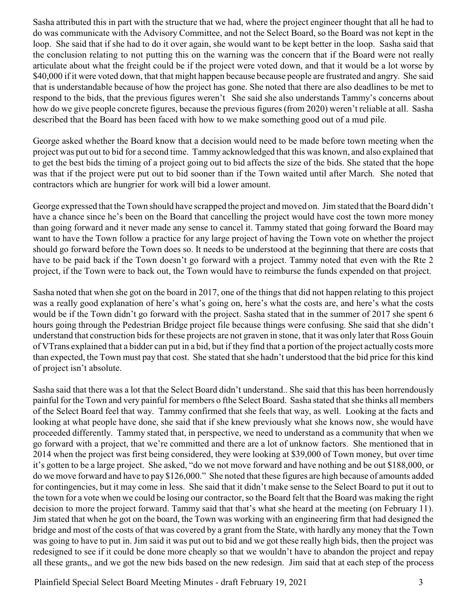Sasha attributed this in part with the structure that we had, where the project engineer thought that all he had to do was communicate with the Advisory Committee, and not the Select Board, so the Board was not kept in the loop. She said that if she had to do it over again, she would want to be kept better in the loop. Sasha said that the conclusion relating to not putting this on the warning was the concern that if the Board were not really articulate about what the freight could be if the project were voted down, and that it would be a lot worse by \$40,000 if it were voted down, that that might happen because because people are frustrated and angry. She said that is understandable because of how the project has gone. She noted that there are also deadlines to be met to respond to the bids, that the previous figures weren't She said she also understands Tammy's concerns about how do we give people concrete figures, because the previous figures (from 2020) weren't reliable at all. Sasha described that the Board has been faced with how to we make something good out of a mud pile.

George asked whether the Board know that a decision would need to be made before town meeting when the project was put out to bid for a second time. Tammy acknowledged that this was known, and also explained that to get the best bids the timing of a project going out to bid affects the size of the bids. She stated that the hope was that if the project were put out to bid sooner than if the Town waited until after March. She noted that contractors which are hungrier for work will bid a lower amount.

George expressed that the Town should have scrapped the project and moved on. Jim stated that the Board didn't have a chance since he's been on the Board that cancelling the project would have cost the town more money than going forward and it never made any sense to cancel it. Tammy stated that going forward the Board may want to have the Town follow a practice for any large project of having the Town vote on whether the project should go forward before the Town does so. It needs to be understood at the beginning that there are costs that have to be paid back if the Town doesn't go forward with a project. Tammy noted that even with the Rte 2 project, if the Town were to back out, the Town would have to reimburse the funds expended on that project.

Sasha noted that when she got on the board in 2017, one of the things that did not happen relating to this project was a really good explanation of here's what's going on, here's what the costs are, and here's what the costs would be if the Town didn't go forward with the project. Sasha stated that in the summer of 2017 she spent 6 hours going through the Pedestrian Bridge project file because things were confusing. She said that she didn't understand that construction bids for these projects are not graven in stone, that it was only later that Ross Gouin of VTrans explained that a bidder can put in a bid, but if they find that a portion of the project actually costs more than expected, the Town must pay that cost. She stated that she hadn't understood that the bid price for this kind of project isn't absolute.

Sasha said that there was a lot that the Select Board didn't understand.. She said that this has been horrendously painful for the Town and very painful for members o fthe Select Board. Sasha stated that she thinks all members of the Select Board feel that way. Tammy confirmed that she feels that way, as well. Looking at the facts and looking at what people have done, she said that if she knew previously what she knows now, she would have proceeded differently. Tammy stated that, in perspective, we need to understand as a community that when we go forward with a project, that we're committed and there are a lot of unknow factors. She mentioned that in 2014 when the project was first being considered, they were looking at \$39,000 of Town money, but over time it's gotten to be a large project. She asked, "do we not move forward and have nothing and be out \$188,000, or do we move forward and have to pay \$126,000." She noted that these figures are high because of amounts added for contingencies, but it may come in less. She said that it didn't make sense to the Select Board to put it out to the town for a vote when we could be losing our contractor, so the Board felt that the Board was making the right decision to more the project forward. Tammy said that that's what she heard at the meeting (on February 11). Jim stated that when he got on the board, the Town was working with an engineering firm that had designed the bridge and most of the costs of that was covered by a grant from the State, with hardly any money that the Town was going to have to put in. Jim said it was put out to bid and we got these really high bids, then the project was redesigned to see if it could be done more cheaply so that we wouldn't have to abandon the project and repay all these grants,, and we got the new bids based on the new redesign. Jim said that at each step of the process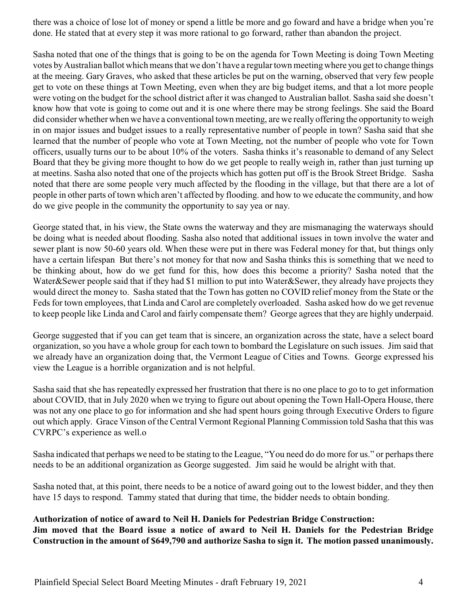there was a choice of lose lot of money or spend a little be more and go foward and have a bridge when you're done. He stated that at every step it was more rational to go forward, rather than abandon the project.

Sasha noted that one of the things that is going to be on the agenda for Town Meeting is doing Town Meeting votes byAustralian ballot which means that we don't have a regular town meetingwhere you get to change things at the meeing. Gary Graves, who asked that these articles be put on the warning, observed that very few people get to vote on these things at Town Meeting, even when they are big budget items, and that a lot more people were voting on the budget for the school district after it was changed to Australian ballot. Sasha said she doesn't know how that vote is going to come out and it is one where there may be strong feelings. She said the Board did consider whether when we have a conventional town meeting, are we really offering the opportunity to weigh in on major issues and budget issues to a really representative number of people in town? Sasha said that she learned that the number of people who vote at Town Meeting, not the number of people who vote for Town officers, usually turns our to be about 10% of the voters. Sasha thinks it's reasonable to demand of any Select Board that they be giving more thought to how do we get people to really weigh in, rather than just turning up at meetins. Sasha also noted that one of the projects which has gotten put off is the Brook Street Bridge. Sasha noted that there are some people very much affected by the flooding in the village, but that there are a lot of people in other parts of town which aren't affected by flooding. and how to we educate the community, and how do we give people in the community the opportunity to say yea or nay.

George stated that, in his view, the State owns the waterway and they are mismanaging the waterways should be doing what is needed about flooding. Sasha also noted that additional issues in town involve the water and sewer plant is now 50-60 years old. When these were put in there was Federal money for that, but things only have a certain lifespan But there's not money for that now and Sasha thinks this is something that we need to be thinking about, how do we get fund for this, how does this become a priority? Sasha noted that the Water&Sewer people said that if they had \$1 million to put into Water&Sewer, they already have projects they would direct the money to. Sasha stated that the Town has gotten no COVID relief money from the State or the Feds for town employees, that Linda and Carol are completely overloaded. Sasha asked how do we get revenue to keep people like Linda and Carol and fairly compensate them? George agrees that they are highly underpaid.

George suggested that if you can get team that is sincere, an organization across the state, have a select board organization, so you have a whole group for each town to bombard the Legislature on such issues. Jim said that we already have an organization doing that, the Vermont League of Cities and Towns. George expressed his view the League is a horrible organization and is not helpful.

Sasha said that she has repeatedly expressed her frustration that there is no one place to go to to get information about COVID, that in July 2020 when we trying to figure out about opening the Town Hall-Opera House, there was not any one place to go for information and she had spent hours going through Executive Orders to figure out which apply. Grace Vinson of the Central Vermont Regional Planning Commission told Sasha that this was CVRPC's experience as well.o

Sasha indicated that perhaps we need to be stating to the League, "You need do do more for us." or perhaps there needs to be an additional organization as George suggested. Jim said he would be alright with that.

Sasha noted that, at this point, there needs to be a notice of award going out to the lowest bidder, and they then have 15 days to respond. Tammy stated that during that time, the bidder needs to obtain bonding.

#### **Authorization of notice of award to Neil H. Daniels for Pedestrian Bridge Construction: Jim moved that the Board issue a notice of award to Neil H. Daniels for the Pedestrian Bridge Construction in the amount of \$649,790 and authorize Sasha to sign it. The motion passed unanimously.**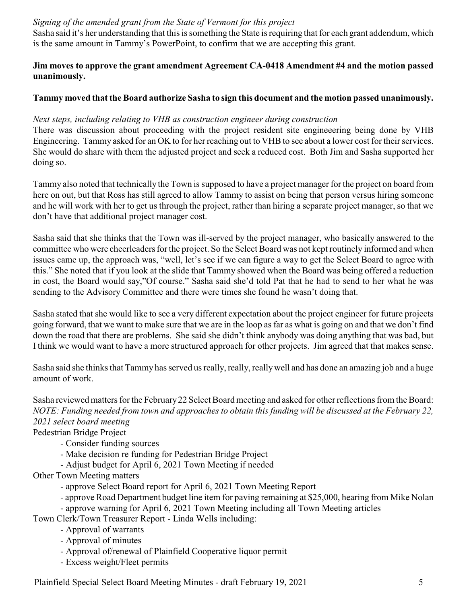# *Signing of the amended grant from the State of Vermont for this project*

Sasha said it's her understanding that this is something the State is requiring that for each grant addendum, which is the same amount in Tammy's PowerPoint, to confirm that we are accepting this grant.

# **Jim moves to approve the grant amendment Agreement CA-0418 Amendment #4 and the motion passed unanimously.**

# **Tammy moved that the Board authorize Sasha to sign this document and the motion passed unanimously.**

#### *Next steps, including relating to VHB as construction engineer during construction*

There was discussion about proceeding with the project resident site engineeering being done by VHB Engineering. Tammy asked for an OK to for her reaching out to VHB to see about a lower cost for their services. She would do share with them the adjusted project and seek a reduced cost. Both Jim and Sasha supported her doing so.

Tammy also noted that technically the Town is supposed to have a project manager for the project on board from here on out, but that Ross has still agreed to allow Tammy to assist on being that person versus hiring someone and he will work with her to get us through the project, rather than hiring a separate project manager, so that we don't have that additional project manager cost.

Sasha said that she thinks that the Town was ill-served by the project manager, who basically answered to the committee who were cheerleaders for the project. So the Select Board was not kept routinely informed and when issues came up, the approach was, "well, let's see if we can figure a way to get the Select Board to agree with this." She noted that if you look at the slide that Tammy showed when the Board was being offered a reduction in cost, the Board would say,"Of course." Sasha said she'd told Pat that he had to send to her what he was sending to the Advisory Committee and there were times she found he wasn't doing that.

Sasha stated that she would like to see a very different expectation about the project engineer for future projects going forward, that we want to make sure that we are in the loop as far as what is going on and that we don't find down the road that there are problems. She said she didn't think anybody was doing anything that was bad, but I think we would want to have a more structured approach for other projects. Jim agreed that that makes sense.

Sasha said she thinks that Tammy has served us really, really, reallywell and has done an amazing job and a huge amount of work.

Sasha reviewed matters for the February22 Select Board meeting and asked for other reflections from the Board: *NOTE: Funding needed from town and approaches to obtain this funding will be discussed at the February 22, 2021 select board meeting*

Pedestrian Bridge Project

- Consider funding sources

- Make decision re funding for Pedestrian Bridge Project
- Adjust budget for April 6, 2021 Town Meeting if needed
- Other Town Meeting matters
	- approve Select Board report for April 6, 2021 Town Meeting Report
	- approve Road Department budget line item for paving remaining at \$25,000, hearing from Mike Nolan
	- approve warning for April 6, 2021 Town Meeting including all Town Meeting articles

Town Clerk/Town Treasurer Report - Linda Wells including:

- Approval of warrants
- Approval of minutes
- Approval of/renewal of Plainfield Cooperative liquor permit
- Excess weight/Fleet permits

Plainfield Special Select Board Meeting Minutes - draft February 19, 2021 5